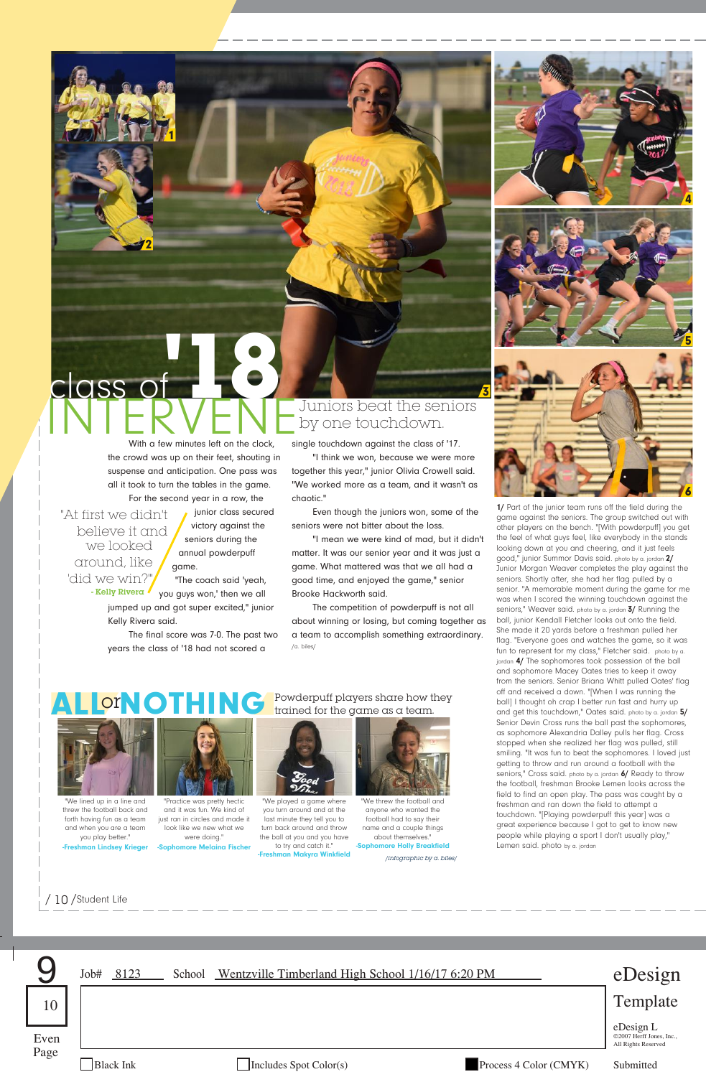



**1/** Part of the junior team runs off the field during the game against the seniors. The group switched out with other players on the bench. "[With powderpuff] you get the feel of what guys feel, like everybody in the stands looking down at you and cheering, and it just feels good," junior Summor Davis said. photo by a. jordan **2/** Junior Morgan Weaver completes the play against the seniors. Shortly after, she had her flag pulled by a senior. "A memorable moment during the game for me was when I scored the winning touchdown against the seniors," Weaver said. photo by a. jordan **3/** Running the ball, junior Kendall Fletcher looks out onto the field. She made it 20 yards before a freshman pulled her flag. "Everyone goes and watches the game, so it was fun to represent for my class," Fletcher said. photo by a. an 4/ The sophomores took possession of the ball and sophomore Macey Oates tries to keep it away from the seniors. Senior Briana Whitt pulled Oates' flag off and received a down. "[When I was running the ball] I thought oh crap I better run fast and hurry up and get this touchdown," Oates said. photo by a. jordan **5/** Senior Devin Cross runs the ball past the sophomores, as sophomore Alexandria Dalley pulls her flag. Cross stopped when she realized her flag was pulled, still smiling. "It was fun to beat the sophomores. I loved just getting to throw and run around a football with the seniors," Cross said. photo by a. jordan **6/** Ready to throw the football, freshman Brooke Lemen looks across the field to find an open play. The pass was caught by a freshman and ran down the field to attempt a touchdown. "[Playing powderpuff this year] was a great experience because I got to get to know new people while playing a sport I don't usually play," Lemen said. photo by a. jordan

With a few minutes left on the clock, the crowd was up on their feet, shouting in suspense and anticipation. One pass was all it took to turn the tables in the game.

"At first we didn't believe it and we looked around, like 'did we win?

class of

2

1

For the second year in a row, the junior class secured victory against the seniors during the annual powderpuff game.

**'18**

"The coach said 'yeah, you guys won,' then we all jumped up and got super excited," junior Kelly Rivera said. - Kelly Rivera

The final score was 7-0. The past two years the class of '18 had not scored a

INTERVENE<sup>Juniors beat the seniors</sup><br>With a few minutes left on the clock single touchdown cropinst the closs of 17 by one touchdown.

3

single touchdown against the class of '17. "I think we won, because we were more together this year," junior Olivia Crowell said.

"We worked more as a team, and it wasn't as chaotic."

Even though the juniors won, some of the seniors were not bitter about the loss.

"I mean we were kind of mad, but it didn't matter. It was our senior year and it was just a game. What mattered was that we all had a good time, and enjoyed the game," senior Brooke Hackworth said.

The competition of powderpuff is not all about winning or losing, but coming together as a team to accomplish something extraordinary. /a. biles/



We lined up in a line and threw the football back and forth having fun as a team and when you are a team you play better. **-**<br>Isev Krie



and it was fun. We kind of just ran in circles and made it look like we new what we were doing."

 $\overline{O}$   $\overline{C}$   $\overline{C}$   $\overline{C}$   $\overline{C}$   $\overline{C}$   $\overline{C}$   $\overline{C}$   $\overline{C}$   $\overline{C}$   $\overline{C}$   $\overline{C}$   $\overline{C}$   $\overline{C}$   $\overline{C}$   $\overline{C}$   $\overline{C}$   $\overline{C}$   $\overline{C}$   $\overline{C}$   $\overline{C}$   $\overline{C}$   $\overline{C}$   $\overline{C}$   $\overline{$ trained for the game as a team.



"We played a game where you turn around and at the last minute they tell you to turn back around and throw the ball at you and you have

We threw the football and anyone who wanted the

to try and catch it." **-Freshman Makyra Winkfield -Sophomore Melaina Fischer -Sophomore Holly Breakfield** football had to say their name and a couple things about themselves."<br> **Example Holly Breakfield** */infographic by a. biles/*

/ 10 /Student Life